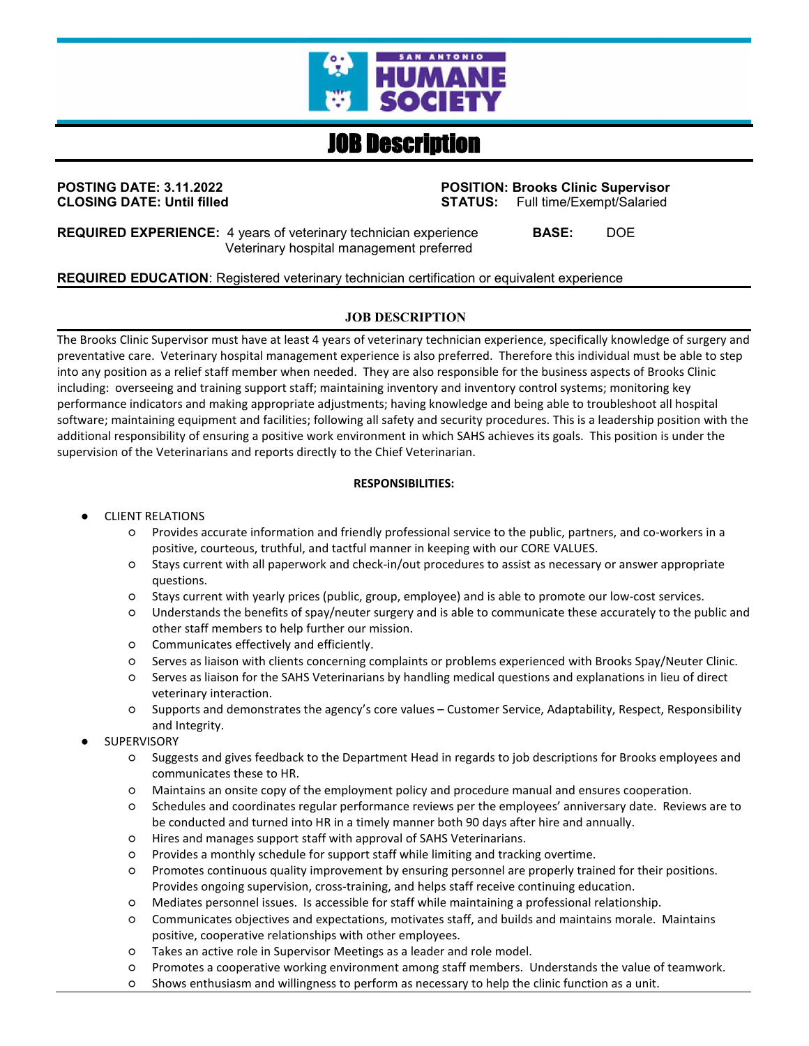

# JOB Description

# **CLOSING DATE: Until filled STATUS:** STATUS:

**POSTING DATE: 3.11.2022 POSITION: Brooks Clinic Supervisor**

**REQUIRED EXPERIENCE:** 4 years of veterinary technician experience **BASE:** DOE Veterinary hospital management preferred

# **REQUIRED EDUCATION**: Registered veterinary technician certification or equivalent experience

#### **JOB DESCRIPTION**

The Brooks Clinic Supervisor must have at least 4 years of veterinary technician experience, specifically knowledge of surgery and preventative care. Veterinary hospital management experience is also preferred. Therefore this individual must be able to step into any position as a relief staff member when needed. They are also responsible for the business aspects of Brooks Clinic including: overseeing and training support staff; maintaining inventory and inventory control systems; monitoring key performance indicators and making appropriate adjustments; having knowledge and being able to troubleshoot all hospital software; maintaining equipment and facilities; following all safety and security procedures. This is a leadership position with the additional responsibility of ensuring a positive work environment in which SAHS achieves its goals. This position is under the supervision of the Veterinarians and reports directly to the Chief Veterinarian.

#### **RESPONSIBILITIES:**

#### CLIENT RELATIONS

- Provides accurate information and friendly professional service to the public, partners, and co-workers in a positive, courteous, truthful, and tactful manner in keeping with our CORE VALUES.
- Stays current with all paperwork and check-in/out procedures to assist as necessary or answer appropriate questions.
- Stays current with yearly prices (public, group, employee) and is able to promote our low-cost services.
- Understands the benefits of spay/neuter surgery and is able to communicate these accurately to the public and other staff members to help further our mission.
- Communicates effectively and efficiently.
- Serves as liaison with clients concerning complaints or problems experienced with Brooks Spay/Neuter Clinic.
- Serves as liaison for the SAHS Veterinarians by handling medical questions and explanations in lieu of direct veterinary interaction.
- Supports and demonstrates the agency's core values Customer Service, Adaptability, Respect, Responsibility and Integrity.
- **SUPERVISORY** 
	- Suggests and gives feedback to the Department Head in regards to job descriptions for Brooks employees and communicates these to HR.
	- Maintains an onsite copy of the employment policy and procedure manual and ensures cooperation.
	- Schedules and coordinates regular performance reviews per the employees' anniversary date. Reviews are to be conducted and turned into HR in a timely manner both 90 days after hire and annually.
	- Hires and manages support staff with approval of SAHS Veterinarians.
	- Provides a monthly schedule for support staff while limiting and tracking overtime.
	- Promotes continuous quality improvement by ensuring personnel are properly trained for their positions. Provides ongoing supervision, cross-training, and helps staff receive continuing education.
	- Mediates personnel issues. Is accessible for staff while maintaining a professional relationship.
	- Communicates objectives and expectations, motivates staff, and builds and maintains morale. Maintains positive, cooperative relationships with other employees.
	- Takes an active role in Supervisor Meetings as a leader and role model.
	- Promotes a cooperative working environment among staff members. Understands the value of teamwork.
	- Shows enthusiasm and willingness to perform as necessary to help the clinic function as a unit.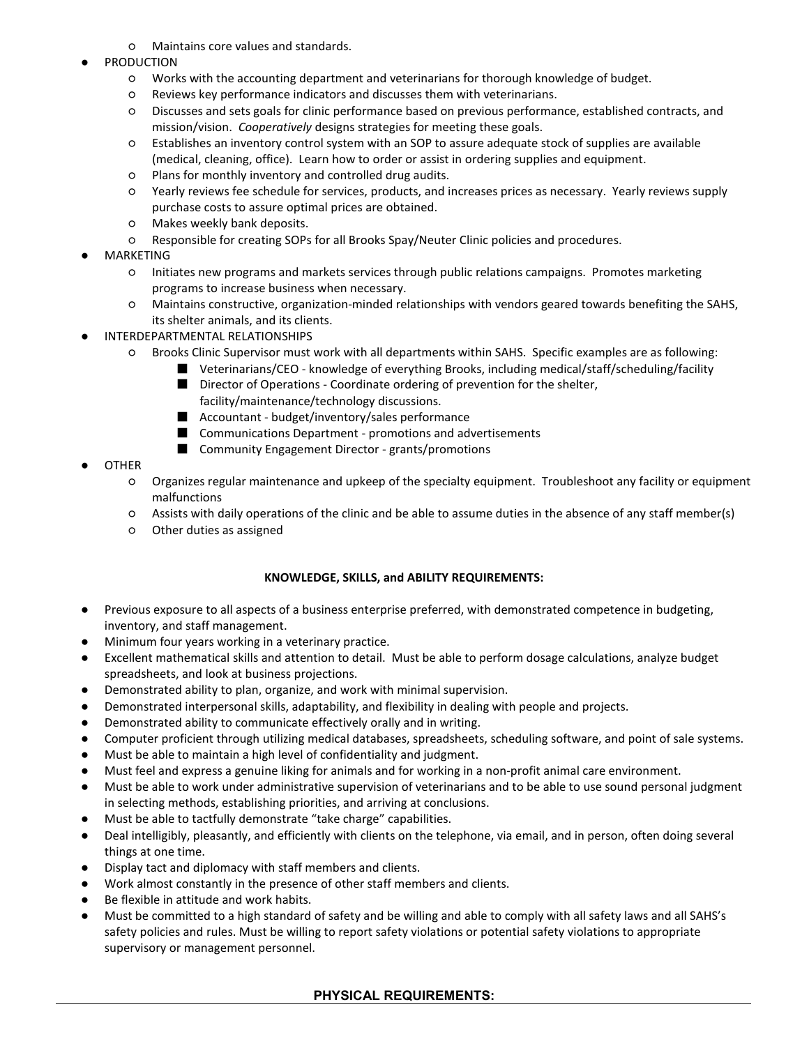- Maintains core values and standards.
- **PRODUCTION** 
	- Works with the accounting department and veterinarians for thorough knowledge of budget.
	- Reviews key performance indicators and discusses them with veterinarians.
	- Discusses and sets goals for clinic performance based on previous performance, established contracts, and mission/vision. *Cooperatively* designs strategies for meeting these goals.
	- Establishes an inventory control system with an SOP to assure adequate stock of supplies are available (medical, cleaning, office). Learn how to order or assist in ordering supplies and equipment.
	- Plans for monthly inventory and controlled drug audits.
	- Yearly reviews fee schedule for services, products, and increases prices as necessary. Yearly reviews supply purchase costs to assure optimal prices are obtained.
	- Makes weekly bank deposits.
	- Responsible for creating SOPs for all Brooks Spay/Neuter Clinic policies and procedures.
- **MARKETING** 
	- Initiates new programs and markets services through public relations campaigns. Promotes marketing programs to increase business when necessary.
	- Maintains constructive, organization-minded relationships with vendors geared towards benefiting the SAHS, its shelter animals, and its clients.
- INTERDEPARTMENTAL RELATIONSHIPS
	- Brooks Clinic Supervisor must work with all departments within SAHS. Specific examples are as following:
		- Veterinarians/CEO knowledge of everything Brooks, including medical/staff/scheduling/facility
			- Director of Operations Coordinate ordering of prevention for the shelter,
				- facility/maintenance/technology discussions.
			- Accountant budget/inventory/sales performance
			- Communications Department promotions and advertisements
			- Community Engagement Director grants/promotions

# **OTHER**

- Organizes regular maintenance and upkeep of the specialty equipment. Troubleshoot any facility or equipment malfunctions
- Assists with daily operations of the clinic and be able to assume duties in the absence of any staff member(s)
- Other duties as assigned

#### **KNOWLEDGE, SKILLS, and ABILITY REQUIREMENTS:**

- Previous exposure to all aspects of a business enterprise preferred, with demonstrated competence in budgeting, inventory, and staff management.
- Minimum four years working in a veterinary practice.
- Excellent mathematical skills and attention to detail. Must be able to perform dosage calculations, analyze budget spreadsheets, and look at business projections.
- Demonstrated ability to plan, organize, and work with minimal supervision.
- Demonstrated interpersonal skills, adaptability, and flexibility in dealing with people and projects.
- Demonstrated ability to communicate effectively orally and in writing.
- Computer proficient through utilizing medical databases, spreadsheets, scheduling software, and point of sale systems.
- Must be able to maintain a high level of confidentiality and judgment.
- Must feel and express a genuine liking for animals and for working in a non-profit animal care environment.
- Must be able to work under administrative supervision of veterinarians and to be able to use sound personal judgment in selecting methods, establishing priorities, and arriving at conclusions.
- Must be able to tactfully demonstrate "take charge" capabilities.
- Deal intelligibly, pleasantly, and efficiently with clients on the telephone, via email, and in person, often doing several things at one time.
- Display tact and diplomacy with staff members and clients.
- Work almost constantly in the presence of other staff members and clients.
- Be flexible in attitude and work habits.
- Must be committed to a high standard of safety and be willing and able to comply with all safety laws and all SAHS's safety policies and rules. Must be willing to report safety violations or potential safety violations to appropriate supervisory or management personnel.

# **PHYSICAL REQUIREMENTS:**